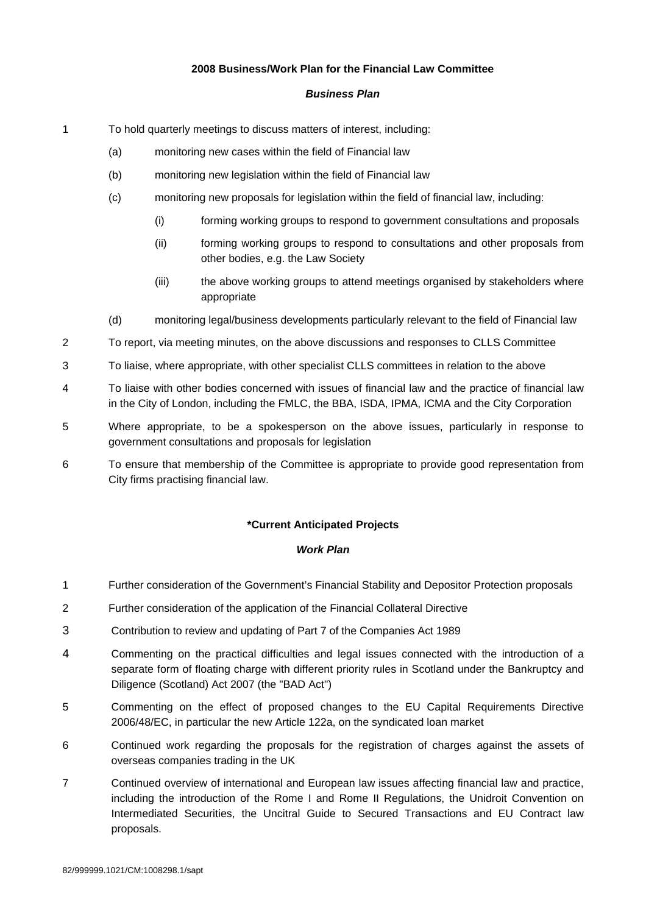## **2008 Business/Work Plan for the Financial Law Committee**

## *Business Plan*

- 1 To hold quarterly meetings to discuss matters of interest, including:
	- (a) monitoring new cases within the field of Financial law
	- (b) monitoring new legislation within the field of Financial law
	- (c) monitoring new proposals for legislation within the field of financial law, including:
		- (i) forming working groups to respond to government consultations and proposals
		- (ii) forming working groups to respond to consultations and other proposals from other bodies, e.g. the Law Society
		- (iii) the above working groups to attend meetings organised by stakeholders where appropriate
	- (d) monitoring legal/business developments particularly relevant to the field of Financial law
- 2 To report, via meeting minutes, on the above discussions and responses to CLLS Committee
- 3 To liaise, where appropriate, with other specialist CLLS committees in relation to the above
- 4 To liaise with other bodies concerned with issues of financial law and the practice of financial law in the City of London, including the FMLC, the BBA, ISDA, IPMA, ICMA and the City Corporation
- 5 Where appropriate, to be a spokesperson on the above issues, particularly in response to government consultations and proposals for legislation
- 6 To ensure that membership of the Committee is appropriate to provide good representation from City firms practising financial law.

## **\*Current Anticipated Projects**

## *Work Plan*

- 1 Further consideration of the Government's Financial Stability and Depositor Protection proposals
- 2 Further consideration of the application of the Financial Collateral Directive
- 3 Contribution to review and updating of Part 7 of the Companies Act 1989
- 4 Commenting on the practical difficulties and legal issues connected with the introduction of a separate form of floating charge with different priority rules in Scotland under the Bankruptcy and Diligence (Scotland) Act 2007 (the "BAD Act")
- 5 Commenting on the effect of proposed changes to the EU Capital Requirements Directive 2006/48/EC, in particular the new Article 122a, on the syndicated loan market
- 6 Continued work regarding the proposals for the registration of charges against the assets of overseas companies trading in the UK
- 7 Continued overview of international and European law issues affecting financial law and practice, including the introduction of the Rome I and Rome II Regulations, the Unidroit Convention on Intermediated Securities, the Uncitral Guide to Secured Transactions and EU Contract law proposals.